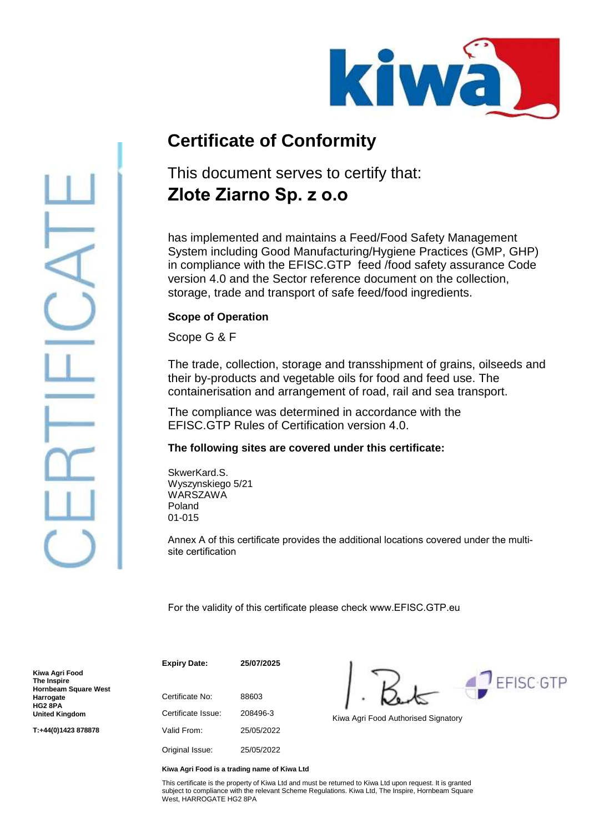

# **Certificate of Conformity**

### This document serves to certify that: **Zlote Ziarno Sp. z o.o**

has implemented and maintains a Feed/Food Safety Management System including Good Manufacturing/Hygiene Practices (GMP, GHP) in compliance with the EFISC.GTP feed /food safety assurance Code version 4.0 and the Sector reference document on the collection, storage, trade and transport of safe feed/food ingredients.

#### **Scope of Operation**

Scope G & F

The trade, collection, storage and transshipment of grains, oilseeds and their by-products and vegetable oils for food and feed use. The containerisation and arrangement of road, rail and sea transport.

The compliance was determined in accordance with the EFISC.GTP Rules of Certification version 4.0.

#### **The following sites are covered under this certificate:**

SkwerKard.S. Wyszynskiego 5/21 **WARSZAWA** Poland 01-015

Annex A of this certificate provides the additional locations covered under the multisite certification

For the validity of this certificate please check www.EFISC.GTP.eu

**Kiwa Agri Food The Inspire Hornbeam Square West Harrogate HG2 8PA United Kingdom**

**T:+44(0)1423 878878**

Certificate No: 88603 Certificate Issue: 208496-3 Kiwa Agri Food Authorised Signatory Valid From: 25/05/2022 Original Issue: 25/05/2022

**Expiry Date: 25/07/2025**

**FFISC-GTP** 

**Kiwa Agri Food is a trading name of Kiwa Ltd**

This certificate is the property of Kiwa Ltd and must be returned to Kiwa Ltd upon request. It is granted subject to compliance with the relevant Scheme Regulations. Kiwa Ltd, The Inspire, Hornbeam Square West, HARROGATE HG2 8PA